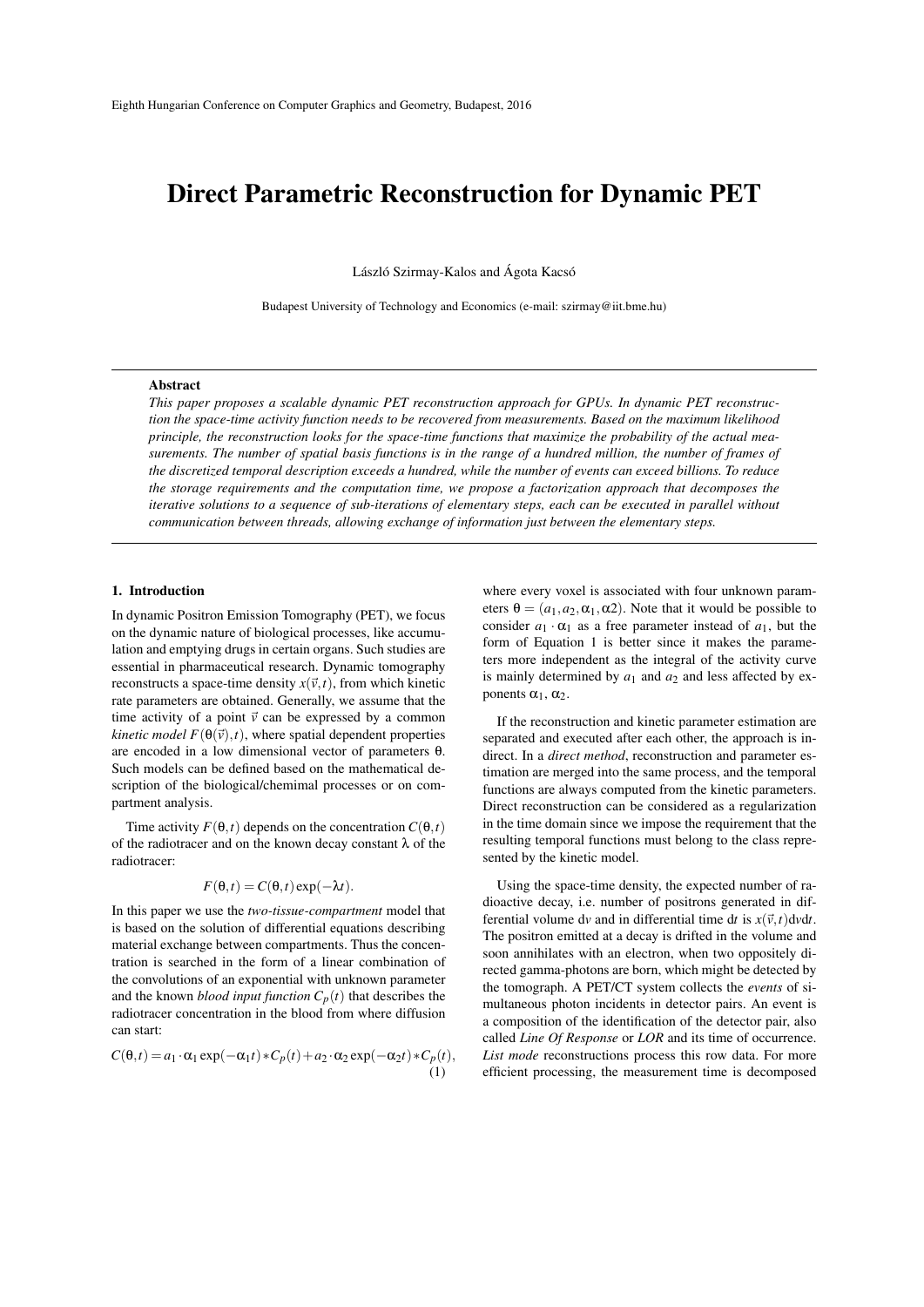# Direct Parametric Reconstruction for Dynamic PET

László Szirmay-Kalos and Ágota Kacsó

Budapest University of Technology and Economics (e-mail: szirmay@iit.bme.hu)

#### Abstract

*This paper proposes a scalable dynamic PET reconstruction approach for GPUs. In dynamic PET reconstruction the space-time activity function needs to be recovered from measurements. Based on the maximum likelihood principle, the reconstruction looks for the space-time functions that maximize the probability of the actual measurements. The number of spatial basis functions is in the range of a hundred million, the number of frames of the discretized temporal description exceeds a hundred, while the number of events can exceed billions. To reduce the storage requirements and the computation time, we propose a factorization approach that decomposes the iterative solutions to a sequence of sub-iterations of elementary steps, each can be executed in parallel without communication between threads, allowing exchange of information just between the elementary steps.*

### 1. Introduction

In dynamic Positron Emission Tomography (PET), we focus on the dynamic nature of biological processes, like accumulation and emptying drugs in certain organs. Such studies are essential in pharmaceutical research. Dynamic tomography reconstructs a space-time density  $x(\vec{v}, t)$ , from which kinetic rate parameters are obtained. Generally, we assume that the time activity of a point  $\vec{v}$  can be expressed by a common *kinetic model*  $F(\theta(\vec{v}), t)$ *, where spatial dependent properties* are encoded in a low dimensional vector of parameters θ. Such models can be defined based on the mathematical description of the biological/chemimal processes or on compartment analysis.

Time activity  $F(\theta, t)$  depends on the concentration  $C(\theta, t)$ of the radiotracer and on the known decay constant  $\lambda$  of the radiotracer:

$$
F(\theta, t) = C(\theta, t) \exp(-\lambda t).
$$

In this paper we use the *two-tissue-compartment* model that is based on the solution of differential equations describing material exchange between compartments. Thus the concentration is searched in the form of a linear combination of the convolutions of an exponential with unknown parameter and the known *blood input function*  $C_p(t)$  that describes the radiotracer concentration in the blood from where diffusion can start:

$$
C(\theta, t) = a_1 \cdot \alpha_1 \exp(-\alpha_1 t) * C_p(t) + a_2 \cdot \alpha_2 \exp(-\alpha_2 t) * C_p(t),
$$
\n(1)

where every voxel is associated with four unknown parameters  $\theta = (a_1, a_2, \alpha_1, \alpha_2)$ . Note that it would be possible to consider  $a_1 \cdot \alpha_1$  as a free parameter instead of  $a_1$ , but the form of Equation 1 is better since it makes the parameters more independent as the integral of the activity curve is mainly determined by  $a_1$  and  $a_2$  and less affected by exponents  $\alpha_1, \alpha_2$ .

If the reconstruction and kinetic parameter estimation are separated and executed after each other, the approach is indirect. In a *direct method*, reconstruction and parameter estimation are merged into the same process, and the temporal functions are always computed from the kinetic parameters. Direct reconstruction can be considered as a regularization in the time domain since we impose the requirement that the resulting temporal functions must belong to the class represented by the kinetic model.

Using the space-time density, the expected number of radioactive decay, i.e. number of positrons generated in differential volume dv and in differential time dt is  $x(\vec{v}, t)$  dvdt. The positron emitted at a decay is drifted in the volume and soon annihilates with an electron, when two oppositely directed gamma-photons are born, which might be detected by the tomograph. A PET/CT system collects the *events* of simultaneous photon incidents in detector pairs. An event is a composition of the identification of the detector pair, also called *Line Of Response* or *LOR* and its time of occurrence. *List mode* reconstructions process this row data. For more efficient processing, the measurement time is decomposed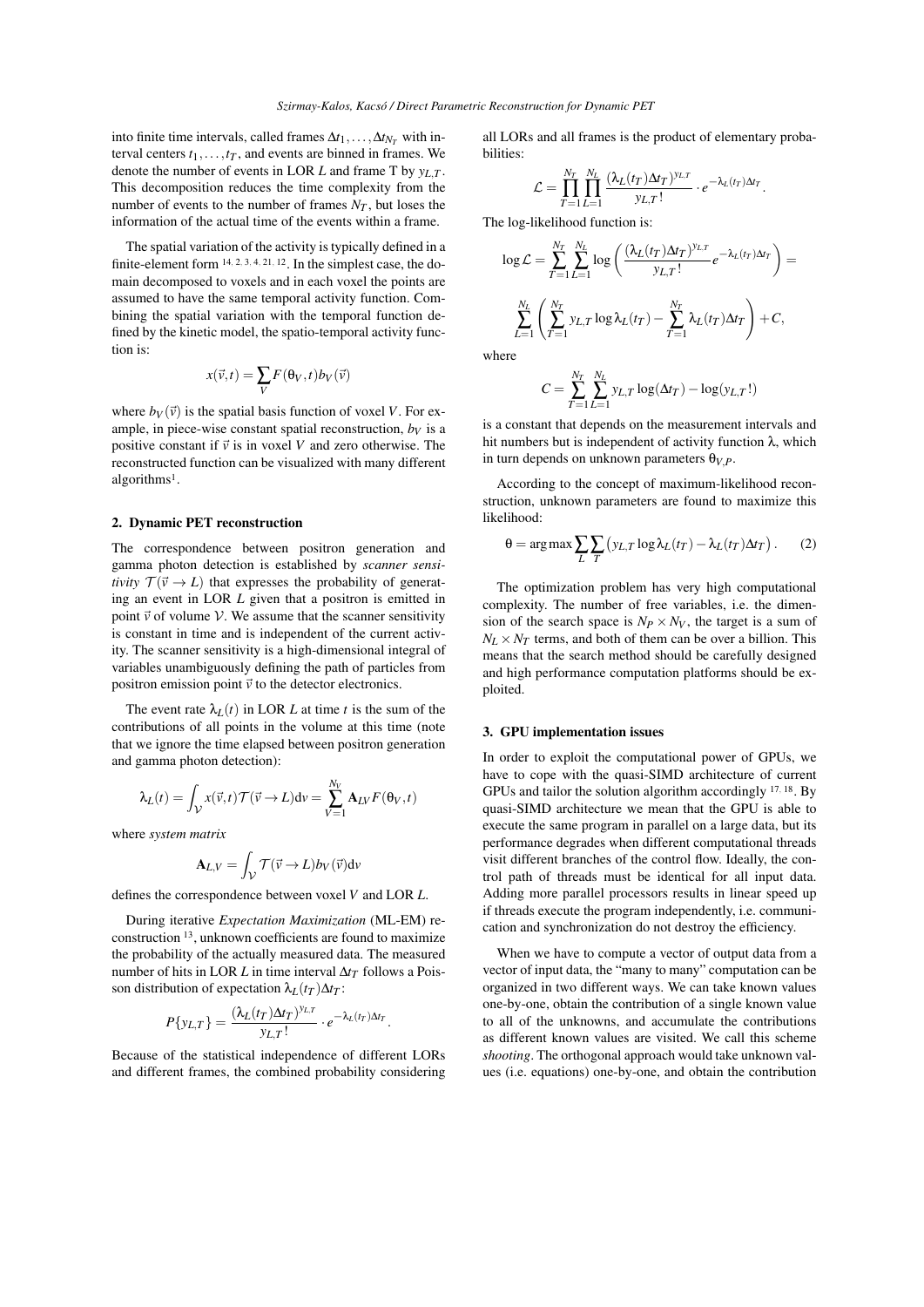into finite time intervals, called frames  $\Delta t_1, \ldots, \Delta t_{N_T}$  with interval centers  $t_1, \ldots, t_T$ , and events are binned in frames. We denote the number of events in LOR *L* and frame T by  $y_L$  *T*. This decomposition reduces the time complexity from the number of events to the number of frames  $N_T$ , but loses the information of the actual time of the events within a frame.

The spatial variation of the activity is typically defined in a finite-element form  $14, 2, 3, 4, 21, 12$ . In the simplest case, the domain decomposed to voxels and in each voxel the points are assumed to have the same temporal activity function. Combining the spatial variation with the temporal function defined by the kinetic model, the spatio-temporal activity function is:

$$
x(\vec{v},t) = \sum_{V} F(\theta_{V},t) b_{V}(\vec{v})
$$

where  $b_V(\vec{v})$  is the spatial basis function of voxel *V*. For example, in piece-wise constant spatial reconstruction,  $b_V$  is a positive constant if  $\vec{v}$  is in voxel *V* and zero otherwise. The reconstructed function can be visualized with many different algorithms<sup>1</sup>.

## 2. Dynamic PET reconstruction

The correspondence between positron generation and gamma photon detection is established by *scanner sensitivity*  $\mathcal{T}(\vec{v} \to L)$  that expresses the probability of generating an event in LOR *L* given that a positron is emitted in point  $\vec{v}$  of volume  $V$ . We assume that the scanner sensitivity is constant in time and is independent of the current activity. The scanner sensitivity is a high-dimensional integral of variables unambiguously defining the path of particles from positron emission point  $\vec{v}$  to the detector electronics.

The event rate  $\lambda_L(t)$  in LOR *L* at time *t* is the sum of the contributions of all points in the volume at this time (note that we ignore the time elapsed between positron generation and gamma photon detection):

$$
\lambda_L(t) = \int_{\mathcal{V}} x(\vec{v}, t) \mathcal{T}(\vec{v} \to L) dv = \sum_{V=1}^{N_V} \mathbf{A}_{LV} F(\theta_V, t)
$$

where *system matrix*

$$
\mathbf{A}_{L,V} = \int_{\mathcal{V}} \mathcal{T}(\vec{v} \to L) b_V(\vec{v}) dv
$$

defines the correspondence between voxel *V* and LOR *L*.

During iterative *Expectation Maximization* (ML-EM) reconstruction <sup>13</sup>, unknown coefficients are found to maximize the probability of the actually measured data. The measured number of hits in LOR *L* in time interval  $\Delta t$ <sup>*T*</sup> follows a Poisson distribution of expectation  $\lambda_L(t_T) \Delta t_T$ :

$$
P\{y_{L,T}\}=\frac{(\lambda_L(t_T)\Delta t_T)^{y_{L,T}}}{y_{L,T}!}\cdot e^{-\lambda_L(t_T)\Delta t_T}.
$$

Because of the statistical independence of different LORs and different frames, the combined probability considering all LORs and all frames is the product of elementary probabilities:

$$
\mathcal{L} = \prod_{T=1}^{N_T} \prod_{L=1}^{N_L} \frac{(\lambda_L(t_T) \Delta t_T)^{y_{L,T}}}{y_{L,T}!} \cdot e^{-\lambda_L(t_T) \Delta t_T}.
$$

The log-likelihood function is:

$$
\log \mathcal{L} = \sum_{T=1}^{N_T} \sum_{L=1}^{N_L} \log \left( \frac{(\lambda_L (t_T) \Delta t_T)^{y_{L,T}}}{y_{L,T}!} e^{-\lambda_L (t_T) \Delta t_T} \right) =
$$
  

$$
\sum_{L=1}^{N_L} \left( \sum_{T=1}^{N_T} y_{L,T} \log \lambda_L (t_T) - \sum_{T=1}^{N_T} \lambda_L (t_T) \Delta t_T \right) + C,
$$

where

$$
C = \sum_{T=1}^{N_T} \sum_{L=1}^{N_L} y_{L,T} \log(\Delta t_T) - \log(y_{L,T}!)
$$

is a constant that depends on the measurement intervals and hit numbers but is independent of activity function  $λ$ , which in turn depends on unknown parameters  $\theta_{V,P}$ .

According to the concept of maximum-likelihood reconstruction, unknown parameters are found to maximize this likelihood:

$$
\theta = \arg \max \sum_{L} \sum_{T} (y_{L,T} \log \lambda_L(t_T) - \lambda_L(t_T) \Delta t_T). \tag{2}
$$

The optimization problem has very high computational complexity. The number of free variables, i.e. the dimension of the search space is  $N_P \times N_V$ , the target is a sum of  $N_L \times N_T$  terms, and both of them can be over a billion. This means that the search method should be carefully designed and high performance computation platforms should be exploited.

#### 3. GPU implementation issues

In order to exploit the computational power of GPUs, we have to cope with the quasi-SIMD architecture of current GPUs and tailor the solution algorithm accordingly <sup>17</sup>*,* <sup>18</sup>. By quasi-SIMD architecture we mean that the GPU is able to execute the same program in parallel on a large data, but its performance degrades when different computational threads visit different branches of the control flow. Ideally, the control path of threads must be identical for all input data. Adding more parallel processors results in linear speed up if threads execute the program independently, i.e. communication and synchronization do not destroy the efficiency.

When we have to compute a vector of output data from a vector of input data, the "many to many" computation can be organized in two different ways. We can take known values one-by-one, obtain the contribution of a single known value to all of the unknowns, and accumulate the contributions as different known values are visited. We call this scheme *shooting*. The orthogonal approach would take unknown values (i.e. equations) one-by-one, and obtain the contribution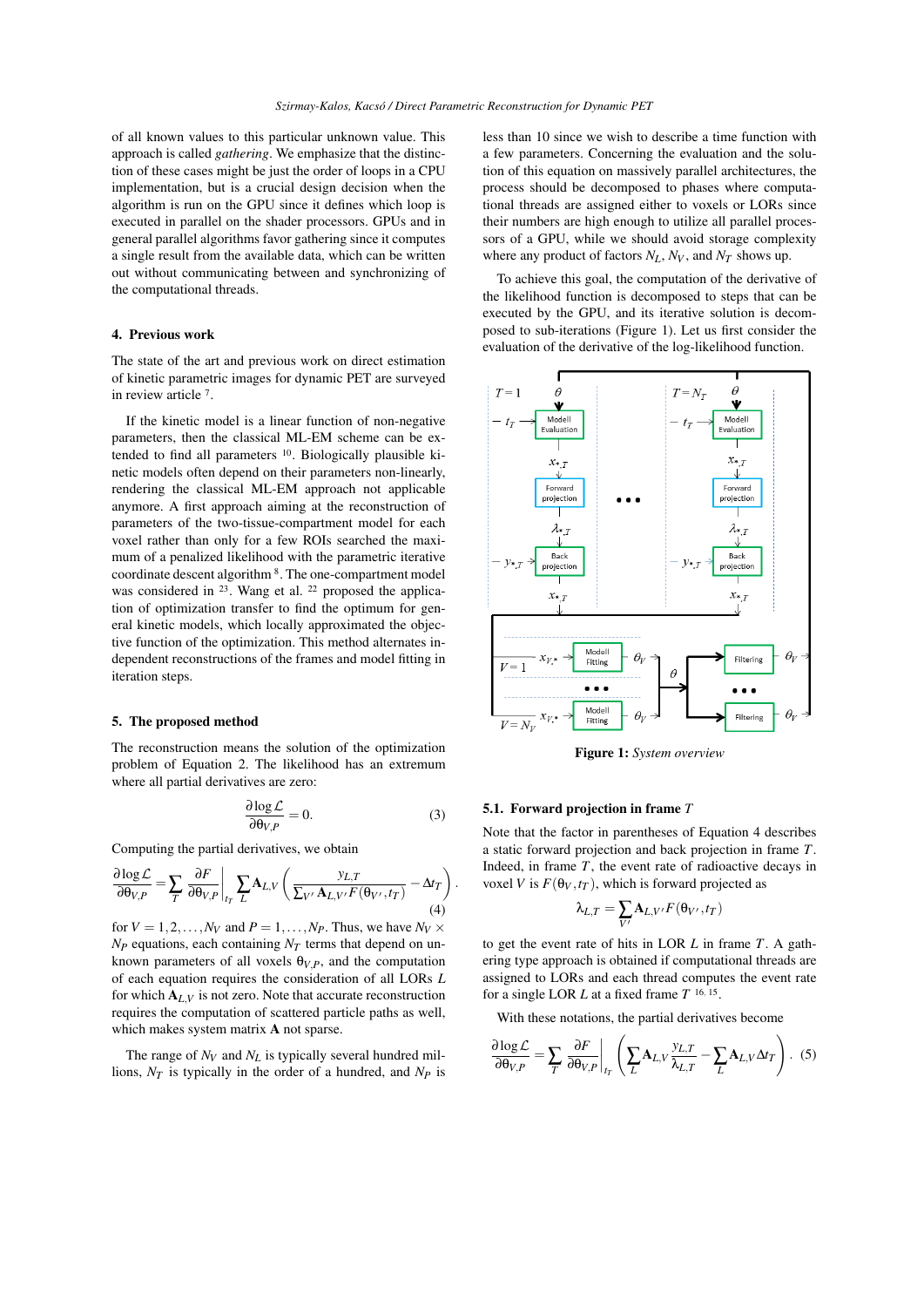of all known values to this particular unknown value. This approach is called *gathering*. We emphasize that the distinction of these cases might be just the order of loops in a CPU implementation, but is a crucial design decision when the algorithm is run on the GPU since it defines which loop is executed in parallel on the shader processors. GPUs and in general parallel algorithms favor gathering since it computes a single result from the available data, which can be written out without communicating between and synchronizing of the computational threads.

# 4. Previous work

The state of the art and previous work on direct estimation of kinetic parametric images for dynamic PET are surveyed in review article <sup>7</sup> .

If the kinetic model is a linear function of non-negative parameters, then the classical ML-EM scheme can be extended to find all parameters <sup>10</sup>. Biologically plausible kinetic models often depend on their parameters non-linearly, rendering the classical ML-EM approach not applicable anymore. A first approach aiming at the reconstruction of parameters of the two-tissue-compartment model for each voxel rather than only for a few ROIs searched the maximum of a penalized likelihood with the parametric iterative coordinate descent algorithm <sup>8</sup>. The one-compartment model was considered in <sup>23</sup>. Wang et al. <sup>22</sup> proposed the application of optimization transfer to find the optimum for general kinetic models, which locally approximated the objective function of the optimization. This method alternates independent reconstructions of the frames and model fitting in iteration steps.

#### 5. The proposed method

The reconstruction means the solution of the optimization problem of Equation 2. The likelihood has an extremum where all partial derivatives are zero:

$$
\frac{\partial \log \mathcal{L}}{\partial \theta_{V,P}} = 0. \tag{3}
$$

*.*

Computing the partial derivatives, we obtain

$$
\frac{\partial \log \mathcal{L}}{\partial \theta_{V,P}} = \sum_{T} \left. \frac{\partial F}{\partial \theta_{V,P}} \right|_{t_T} \sum_{L} \mathbf{A}_{L,V} \left( \frac{y_{L,T}}{\sum_{V'} \mathbf{A}_{L,V'} F(\theta_{V'}, t_T)} - \Delta t_T \right)
$$
\n(4)

for  $V = 1, 2, \ldots, N_V$  and  $P = 1, \ldots, N_P$ . Thus, we have  $N_V \times$  $N_P$  equations, each containing  $N_T$  terms that depend on unknown parameters of all voxels  $\theta_{V,P}$ , and the computation of each equation requires the consideration of all LORs *L* for which  $A_{I,V}$  is not zero. Note that accurate reconstruction requires the computation of scattered particle paths as well, which makes system matrix **A** not sparse.

The range of  $N_V$  and  $N_L$  is typically several hundred millions, *NT* is typically in the order of a hundred, and *NP* is less than 10 since we wish to describe a time function with a few parameters. Concerning the evaluation and the solution of this equation on massively parallel architectures, the process should be decomposed to phases where computational threads are assigned either to voxels or LORs since their numbers are high enough to utilize all parallel processors of a GPU, while we should avoid storage complexity where any product of factors  $N_L$ ,  $N_V$ , and  $N_T$  shows up.

To achieve this goal, the computation of the derivative of the likelihood function is decomposed to steps that can be executed by the GPU, and its iterative solution is decomposed to sub-iterations (Figure 1). Let us first consider the evaluation of the derivative of the log-likelihood function.



Figure 1: *System overview*

#### 5.1. Forward projection in frame *T*

Note that the factor in parentheses of Equation 4 describes a static forward projection and back projection in frame *T*. Indeed, in frame *T*, the event rate of radioactive decays in voxel *V* is  $F(\theta_V, t_T)$ , which is forward projected as

$$
\lambda_{L,T} = \sum_{V'} \mathbf{A}_{L,V'} F(\theta_{V'}, t_T)
$$

to get the event rate of hits in LOR *L* in frame *T*. A gathering type approach is obtained if computational threads are assigned to LORs and each thread computes the event rate for a single LOR *L* at a fixed frame *T* 16*,* 15 .

With these notations, the partial derivatives become

$$
\frac{\partial \log \mathcal{L}}{\partial \theta_{V,P}} = \sum_{T} \left. \frac{\partial F}{\partial \theta_{V,P}} \right|_{t_T} \left( \sum_{L} \mathbf{A}_{L,V} \frac{y_{L,T}}{\lambda_{L,T}} - \sum_{L} \mathbf{A}_{L,V} \Delta t_T \right). (5)
$$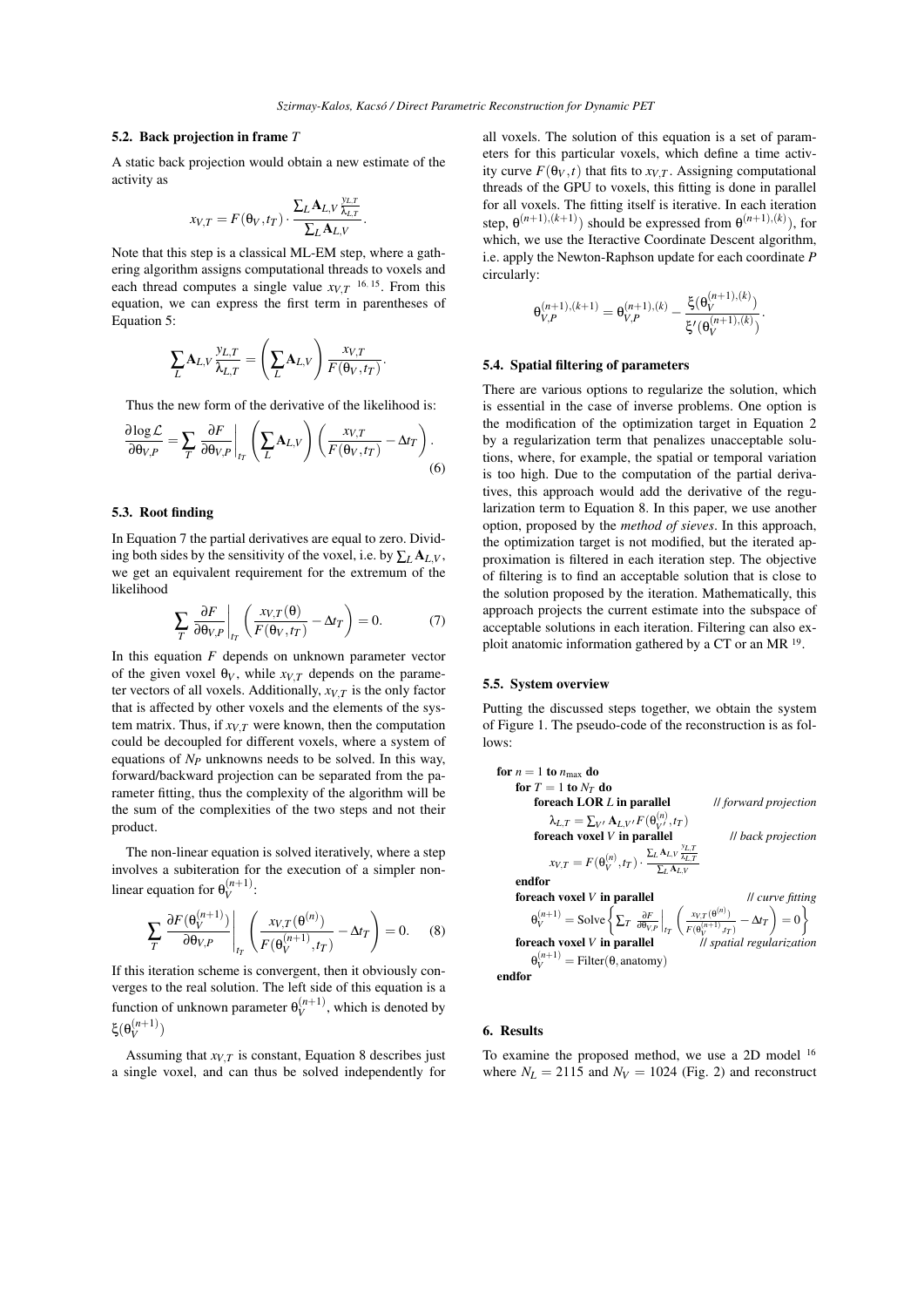## 5.2. Back projection in frame *T*

A static back projection would obtain a new estimate of the activity as

$$
x_{V,T} = F(\theta_V, t_T) \cdot \frac{\sum_L A_{L,V} \frac{y_{L,T}}{\lambda_{L,T}}}{\sum_L A_{L,V}}.
$$

Note that this step is a classical ML-EM step, where a gathering algorithm assigns computational threads to voxels and each thread computes a single value  $x_{V,T}$ <sup>16, 15</sup>. From this equation, we can express the first term in parentheses of Equation 5:

$$
\sum_{L} \mathbf{A}_{L,V} \frac{\mathbf{y}_{L,T}}{\lambda_{L,T}} = \left(\sum_{L} \mathbf{A}_{L,V}\right) \frac{\mathbf{x}_{V,T}}{F(\theta_V,t_T)}.
$$

Thus the new form of the derivative of the likelihood is:

$$
\frac{\partial \log \mathcal{L}}{\partial \theta_{V,P}} = \sum_{T} \left. \frac{\partial F}{\partial \theta_{V,P}} \right|_{t_T} \left( \sum_{L} \mathbf{A}_{L,V} \right) \left( \frac{x_{V,T}}{F(\theta_V, t_T)} - \Delta t_T \right). \tag{6}
$$

### 5.3. Root finding

In Equation 7 the partial derivatives are equal to zero. Dividing both sides by the sensitivity of the voxel, i.e. by  $\sum_l A_{l,V}$ , we get an equivalent requirement for the extremum of the likelihood

$$
\sum_{T} \frac{\partial F}{\partial \theta_{V,P}} \bigg|_{t_T} \left( \frac{x_{V,T}(\theta)}{F(\theta_V, t_T)} - \Delta t_T \right) = 0. \tag{7}
$$

In this equation *F* depends on unknown parameter vector of the given voxel  $\theta_V$ , while  $x_{V,T}$  depends on the parameter vectors of all voxels. Additionally,  $x_{V,T}$  is the only factor that is affected by other voxels and the elements of the system matrix. Thus, if  $x_{V,T}$  were known, then the computation could be decoupled for different voxels, where a system of equations of *NP* unknowns needs to be solved. In this way, forward/backward projection can be separated from the parameter fitting, thus the complexity of the algorithm will be the sum of the complexities of the two steps and not their product.

The non-linear equation is solved iteratively, where a step involves a subiteration for the execution of a simpler nonlinear equation for  $\theta_V^{(n+1)}$ :

$$
\sum_{T} \frac{\partial F(\theta_V^{(n+1)})}{\partial \theta_{V,P}} \bigg|_{t_T} \left( \frac{x_{V,T}(\theta^{(n)})}{F(\theta_V^{(n+1)}, t_T)} - \Delta t_T \right) = 0. \tag{8}
$$

If this iteration scheme is convergent, then it obviously converges to the real solution. The left side of this equation is a function of unknown parameter  $\theta_V^{(n+1)}$ , which is denoted by ξ $(\theta_V^{(n+1)})$ 

Assuming that  $x_{V,T}$  is constant, Equation 8 describes just a single voxel, and can thus be solved independently for

all voxels. The solution of this equation is a set of parameters for this particular voxels, which define a time activity curve  $F(\theta_V, t)$  that fits to  $x_{V,T}$ . Assigning computational threads of the GPU to voxels, this fitting is done in parallel for all voxels. The fitting itself is iterative. In each iteration step,  $\theta^{(n+1),(k+1)}$  should be expressed from  $\theta^{(n+1),(k)}$ , for which, we use the Iteractive Coordinate Descent algorithm, i.e. apply the Newton-Raphson update for each coordinate *P* circularly:

$$
\theta_{V,P}^{(n+1),(k+1)} = \theta_{V,P}^{(n+1),(k)} - \frac{\xi(\theta_V^{(n+1),(k)})}{\xi'(\theta_V^{(n+1),(k)})}.
$$

## 5.4. Spatial filtering of parameters

There are various options to regularize the solution, which is essential in the case of inverse problems. One option is the modification of the optimization target in Equation 2 by a regularization term that penalizes unacceptable solutions, where, for example, the spatial or temporal variation is too high. Due to the computation of the partial derivatives, this approach would add the derivative of the regularization term to Equation 8. In this paper, we use another option, proposed by the *method of sieves*. In this approach, the optimization target is not modified, but the iterated approximation is filtered in each iteration step. The objective of filtering is to find an acceptable solution that is close to the solution proposed by the iteration. Mathematically, this approach projects the current estimate into the subspace of acceptable solutions in each iteration. Filtering can also exploit anatomic information gathered by a CT or an MR <sup>19</sup> .

#### 5.5. System overview

Putting the discussed steps together, we obtain the system of Figure 1. The pseudo-code of the reconstruction is as follows:

**for** 
$$
n = 1
$$
 **to**  $n_{\text{max}}$  **do**  
\n**for**  $T = 1$  **to**  $N_T$  **do**  
\n**for**  $T = 1$  **to**  $N_T$  **do**  
\n**for**  $L$  **in parallel**  
\n $\lambda_{L,T} = \sum_{V'} \mathbf{A}_{L,V'} F(\theta_{V'}^{(n)}, t_T)$   
\n**for to to to to to to to**  $W$  **to to**  $W$  **to**  $W$  **to**  $W$  **to**  $W$  **to**  $W$  **to**  $W$  **to**  $W$  **to**  $W$  **to**  $W$  **to**  $W$  **to**  $W$  **to**  $W$  **to**  $W$  **to**  $W$  **to**  $W$  **to**  $W$  **to**  $W$  **to**  $W$  **to**  $W$  **to**  $W$  **to**  $W$  **to**  $W$  **to**  $W$  **to**  $W$  **to**  $W$  **to**  $W$  **to**  $W$  **to**  $W$  **to**  $W$  **to**  $W$  **to**  $W$  **to**  $W$  **to**  $W$  **to**  $W$  **to**  $W$  **to**  $W$  **to**

## 6. Results

To examine the proposed method, we use a 2D model <sup>16</sup> where  $N_L = 2115$  and  $N_V = 1024$  (Fig. 2) and reconstruct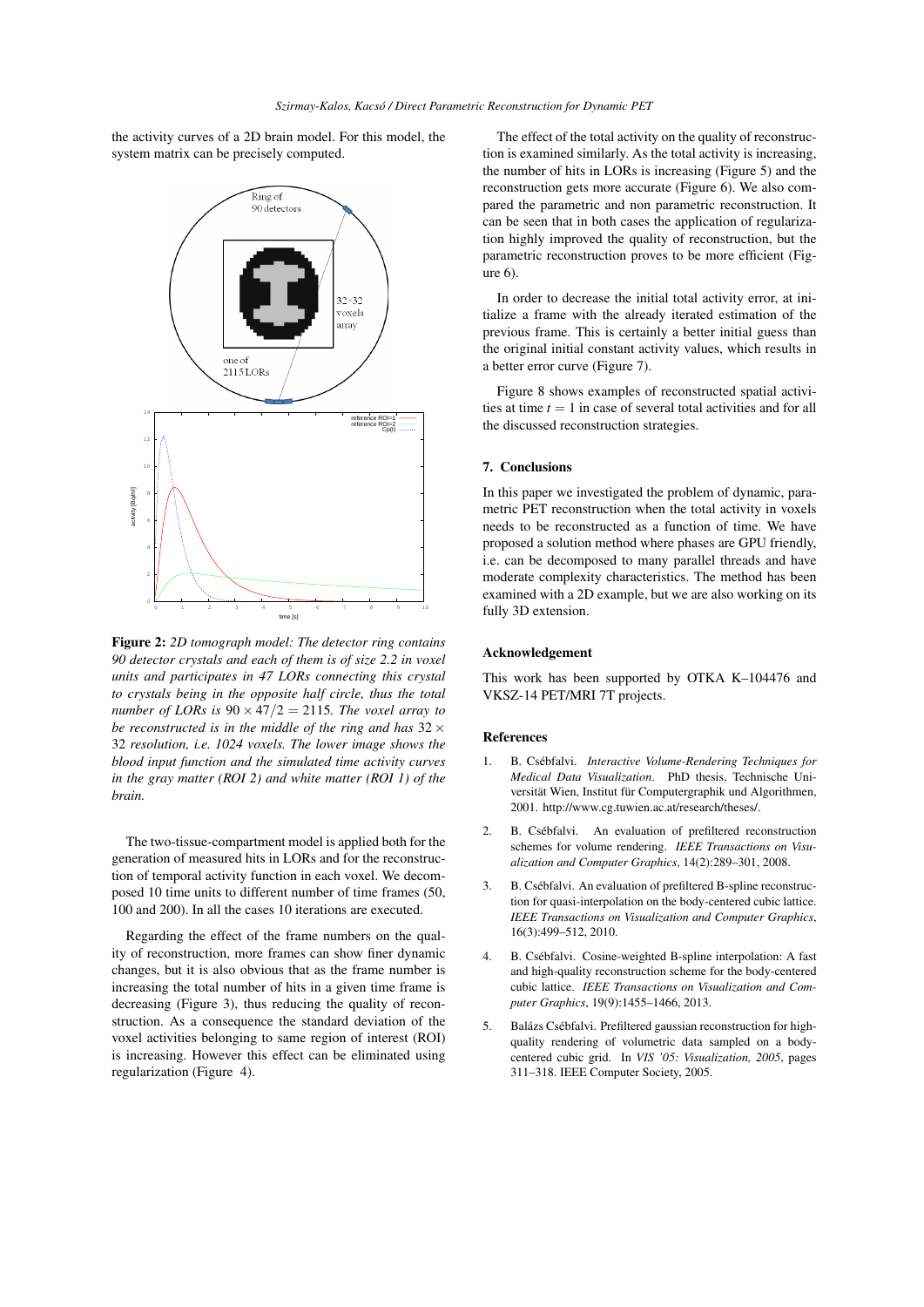the activity curves of a 2D brain model. For this model, the system matrix can be precisely computed.



Figure 2: *2D tomograph model: The detector ring contains 90 detector crystals and each of them is of size 2.2 in voxel units and participates in 47 LORs connecting this crystal to crystals being in the opposite half circle, thus the total number of LORs is*  $90 \times 47/2 = 2115$ *. The voxel array to be reconstructed is in the middle of the ring and has* 32 *×* 32 *resolution, i.e. 1024 voxels. The lower image shows the blood input function and the simulated time activity curves in the gray matter (ROI 2) and white matter (ROI 1) of the brain.*

The two-tissue-compartment model is applied both for the generation of measured hits in LORs and for the reconstruction of temporal activity function in each voxel. We decomposed 10 time units to different number of time frames (50, 100 and 200). In all the cases 10 iterations are executed.

Regarding the effect of the frame numbers on the quality of reconstruction, more frames can show finer dynamic changes, but it is also obvious that as the frame number is increasing the total number of hits in a given time frame is decreasing (Figure 3), thus reducing the quality of reconstruction. As a consequence the standard deviation of the voxel activities belonging to same region of interest (ROI) is increasing. However this effect can be eliminated using regularization (Figure 4).

The effect of the total activity on the quality of reconstruction is examined similarly. As the total activity is increasing, the number of hits in LORs is increasing (Figure 5) and the reconstruction gets more accurate (Figure 6). We also compared the parametric and non parametric reconstruction. It can be seen that in both cases the application of regularization highly improved the quality of reconstruction, but the parametric reconstruction proves to be more efficient (Figure 6).

In order to decrease the initial total activity error, at initialize a frame with the already iterated estimation of the previous frame. This is certainly a better initial guess than the original initial constant activity values, which results in a better error curve (Figure 7).

Figure 8 shows examples of reconstructed spatial activities at time  $t = 1$  in case of several total activities and for all the discussed reconstruction strategies.

# 7. Conclusions

In this paper we investigated the problem of dynamic, parametric PET reconstruction when the total activity in voxels needs to be reconstructed as a function of time. We have proposed a solution method where phases are GPU friendly, i.e. can be decomposed to many parallel threads and have moderate complexity characteristics. The method has been examined with a 2D example, but we are also working on its fully 3D extension.

# Acknowledgement

This work has been supported by OTKA K–104476 and VKSZ-14 PET/MRI 7T projects.

# References

- 1. B. Csébfalvi. *Interactive Volume-Rendering Techniques for Medical Data Visualization*. PhD thesis, Technische Universität Wien, Institut für Computergraphik und Algorithmen, 2001. http://www.cg.tuwien.ac.at/research/theses/.
- 2. B. Csébfalvi. An evaluation of prefiltered reconstruction schemes for volume rendering. *IEEE Transactions on Visualization and Computer Graphics*, 14(2):289–301, 2008.
- 3. B. Csébfalvi. An evaluation of prefiltered B-spline reconstruction for quasi-interpolation on the body-centered cubic lattice. *IEEE Transactions on Visualization and Computer Graphics*, 16(3):499–512, 2010.
- 4. B. Csébfalvi. Cosine-weighted B-spline interpolation: A fast and high-quality reconstruction scheme for the body-centered cubic lattice. *IEEE Transactions on Visualization and Computer Graphics*, 19(9):1455–1466, 2013.
- 5. Balázs Csébfalvi. Prefiltered gaussian reconstruction for highquality rendering of volumetric data sampled on a bodycentered cubic grid. In *VIS '05: Visualization, 2005*, pages 311–318. IEEE Computer Society, 2005.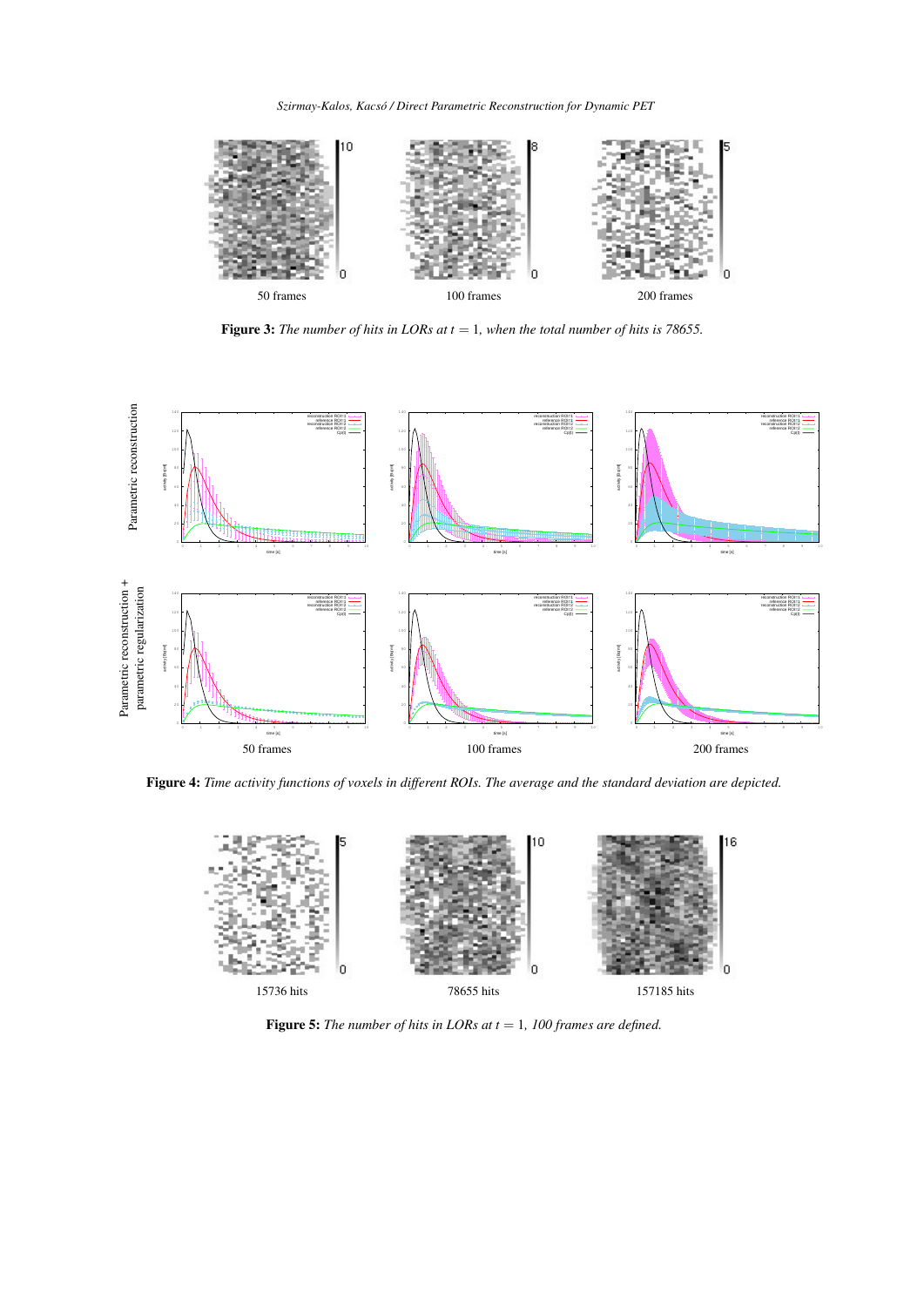*Szirmay-Kalos, Kacsó / Direct Parametric Reconstruction for Dynamic PET*



Figure 3: *The number of hits in LORs at t* = 1*, when the total number of hits is 78655.*



Figure 4: *Time activity functions of voxels in different ROIs. The average and the standard deviation are depicted.*



Figure 5: *The number of hits in LORs at t* = 1*, 100 frames are defined.*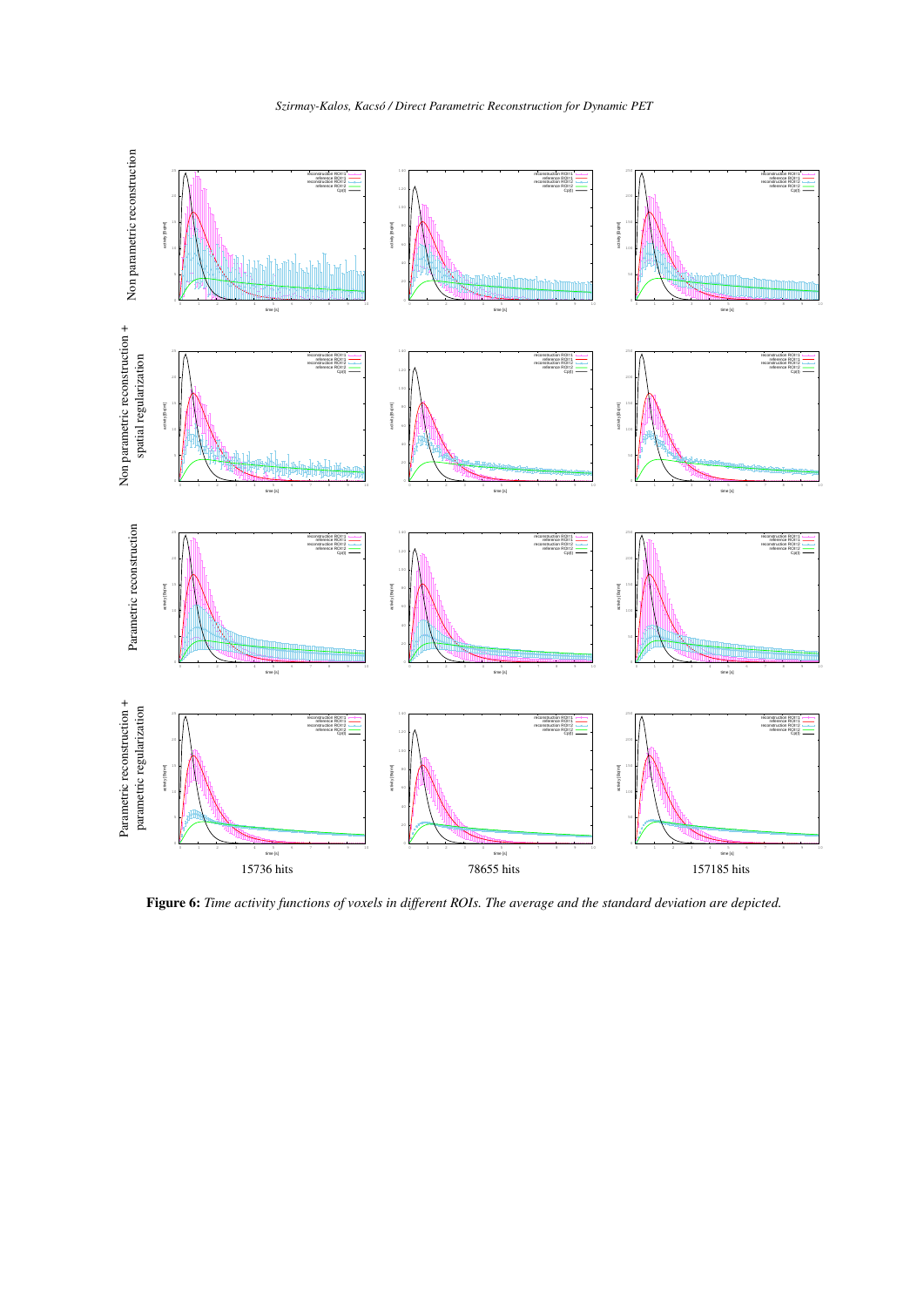

Figure 6: *Time activity functions of voxels in different ROIs. The average and the standard deviation are depicted.*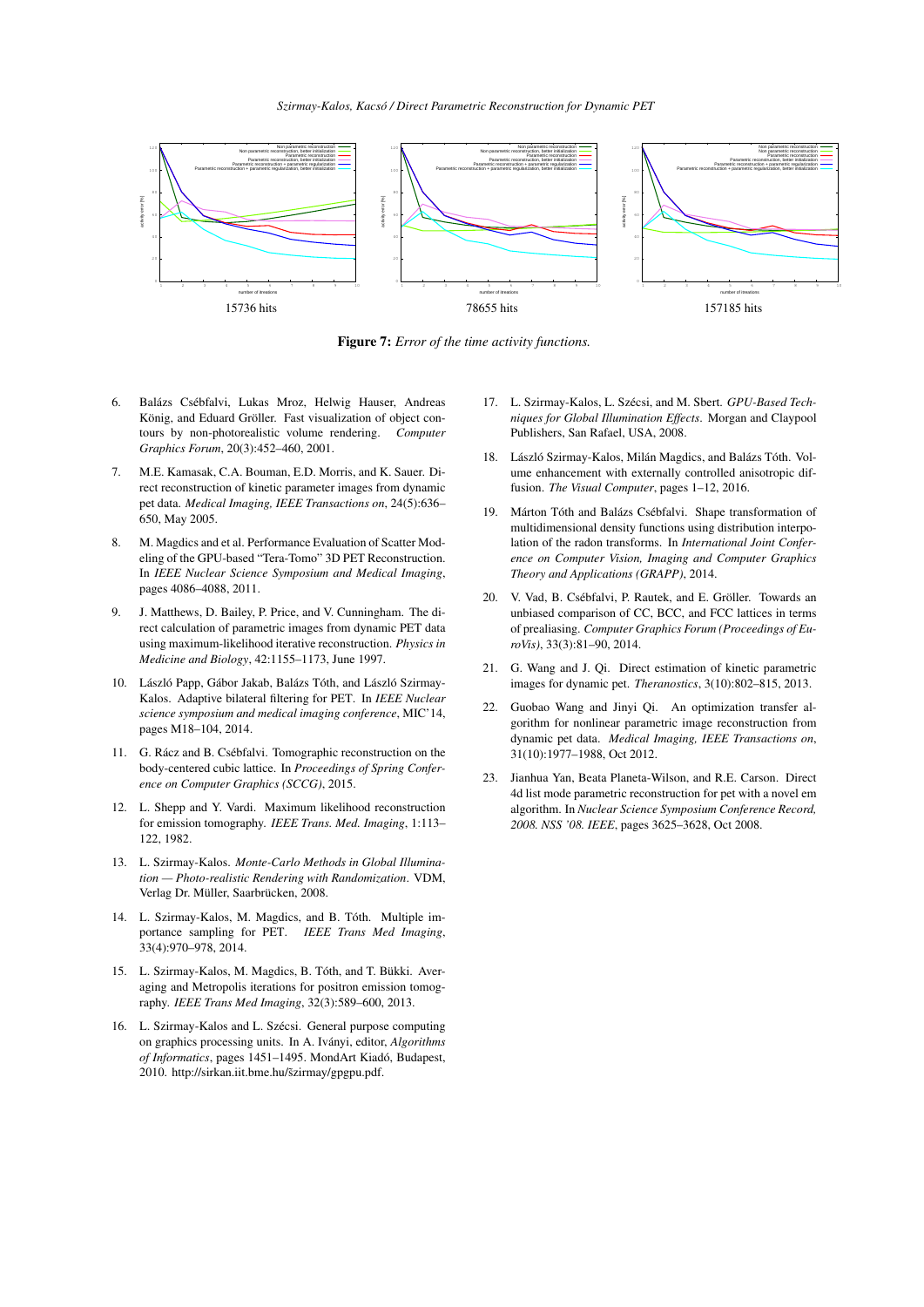*Szirmay-Kalos, Kacsó / Direct Parametric Reconstruction for Dynamic PET*



Figure 7: *Error of the time activity functions.*

- 6. Balázs Csébfalvi, Lukas Mroz, Helwig Hauser, Andreas König, and Eduard Gröller. Fast visualization of object contours by non-photorealistic volume rendering. *Computer Graphics Forum*, 20(3):452–460, 2001.
- 7. M.E. Kamasak, C.A. Bouman, E.D. Morris, and K. Sauer. Direct reconstruction of kinetic parameter images from dynamic pet data. *Medical Imaging, IEEE Transactions on*, 24(5):636– 650, May 2005.
- 8. M. Magdics and et al. Performance Evaluation of Scatter Modeling of the GPU-based "Tera-Tomo" 3D PET Reconstruction. In *IEEE Nuclear Science Symposium and Medical Imaging*, pages 4086–4088, 2011.
- 9. J. Matthews, D. Bailey, P. Price, and V. Cunningham. The direct calculation of parametric images from dynamic PET data using maximum-likelihood iterative reconstruction. *Physics in Medicine and Biology*, 42:1155–1173, June 1997.
- 10. László Papp, Gábor Jakab, Balázs Tóth, and László Szirmay-Kalos. Adaptive bilateral filtering for PET. In *IEEE Nuclear science symposium and medical imaging conference*, MIC'14, pages M18–104, 2014.
- 11. G. Rácz and B. Csébfalvi. Tomographic reconstruction on the body-centered cubic lattice. In *Proceedings of Spring Conference on Computer Graphics (SCCG)*, 2015.
- 12. L. Shepp and Y. Vardi. Maximum likelihood reconstruction for emission tomography. *IEEE Trans. Med. Imaging*, 1:113– 122, 1982.
- 13. L. Szirmay-Kalos. *Monte-Carlo Methods in Global Illumination — Photo-realistic Rendering with Randomization*. VDM, Verlag Dr. Müller, Saarbrücken, 2008.
- 14. L. Szirmay-Kalos, M. Magdics, and B. Tóth. Multiple importance sampling for PET. *IEEE Trans Med Imaging*, 33(4):970–978, 2014.
- 15. L. Szirmay-Kalos, M. Magdics, B. Tóth, and T. Bükki. Averaging and Metropolis iterations for positron emission tomography. *IEEE Trans Med Imaging*, 32(3):589–600, 2013.
- 16. L. Szirmay-Kalos and L. Szécsi. General purpose computing on graphics processing units. In A. Iványi, editor, *Algorithms of Informatics*, pages 1451–1495. MondArt Kiadó, Budapest, 2010. http://sirkan.iit.bme.hu/s̃zirmay/gpgpu.pdf.
- 17. L. Szirmay-Kalos, L. Szécsi, and M. Sbert. *GPU-Based Techniques for Global Illumination Effects*. Morgan and Claypool Publishers, San Rafael, USA, 2008.
- 18. László Szirmay-Kalos, Milán Magdics, and Balázs Tóth. Volume enhancement with externally controlled anisotropic diffusion. *The Visual Computer*, pages 1–12, 2016.
- 19. Márton Tóth and Balázs Csébfalvi. Shape transformation of multidimensional density functions using distribution interpolation of the radon transforms. In *International Joint Conference on Computer Vision, Imaging and Computer Graphics Theory and Applications (GRAPP)*, 2014.
- 20. V. Vad, B. Csébfalvi, P. Rautek, and E. Gröller. Towards an unbiased comparison of CC, BCC, and FCC lattices in terms of prealiasing. *Computer Graphics Forum (Proceedings of EuroVis)*, 33(3):81–90, 2014.
- 21. G. Wang and J. Qi. Direct estimation of kinetic parametric images for dynamic pet. *Theranostics*, 3(10):802–815, 2013.
- 22. Guobao Wang and Jinyi Qi. An optimization transfer algorithm for nonlinear parametric image reconstruction from dynamic pet data. *Medical Imaging, IEEE Transactions on*, 31(10):1977–1988, Oct 2012.
- 23. Jianhua Yan, Beata Planeta-Wilson, and R.E. Carson. Direct 4d list mode parametric reconstruction for pet with a novel em algorithm. In *Nuclear Science Symposium Conference Record, 2008. NSS '08. IEEE*, pages 3625–3628, Oct 2008.